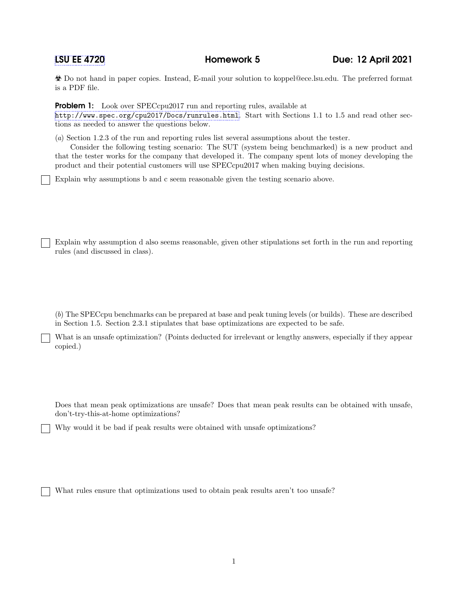Do not hand in paper copies. Instead, E-mail your solution to koppel@ece.lsu.edu. The preferred format is a PDF file.

**Problem 1:** Look over SPECcpu2017 run and reporting rules, available at

<http://www.spec.org/cpu2017/Docs/runrules.html>. Start with Sections 1.1 to 1.5 and read other sections as needed to answer the questions below.

(a) Section 1.2.3 of the run and reporting rules list several assumptions about the tester.

Consider the following testing scenario: The SUT (system being benchmarked) is a new product and that the tester works for the company that developed it. The company spent lots of money developing the product and their potential customers will use SPECcpu2017 when making buying decisions.

Explain why assumptions b and c seem reasonable given the testing scenario above.

Explain why assumption d also seems reasonable, given other stipulations set forth in the run and reporting rules (and discussed in class).

(b) The SPECcpu benchmarks can be prepared at base and peak tuning levels (or builds). These are described in Section 1.5. Section 2.3.1 stipulates that base optimizations are expected to be safe.

What is an unsafe optimization? (Points deducted for irrelevant or lengthy answers, especially if they appear copied.)

Does that mean peak optimizations are unsafe? Does that mean peak results can be obtained with unsafe, don't-try-this-at-home optimizations?

Why would it be bad if peak results were obtained with unsafe optimizations?

What rules ensure that optimizations used to obtain peak results aren't too unsafe?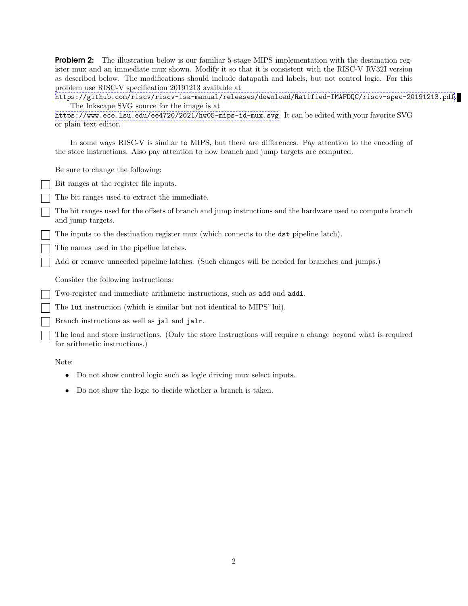**Problem 2:** The illustration below is our familiar 5-stage MIPS implementation with the destination register mux and an immediate mux shown. Modify it so that it is consistent with the RISC-V RV32I version as described below. The modifications should include datapath and labels, but not control logic. For this problem use RISC-V specification 20191213 available at

<https://github.com/riscv/riscv-isa-manual/releases/download/Ratified-IMAFDQC/riscv-spec-20191213.pdf>. The Inkscape SVG source for the image is at

<https://www.ece.lsu.edu/ee4720/2021/hw05-mips-id-mux.svg>. It can be edited with your favorite SVG or plain text editor.

In some ways RISC-V is similar to MIPS, but there are differences. Pay attention to the encoding of the store instructions. Also pay attention to how branch and jump targets are computed.

Be sure to change the following:

Bit ranges at the register file inputs.

The bit ranges used to extract the immediate.

The bit ranges used for the offsets of branch and jump instructions and the hardware used to compute branch and jump targets.

The inputs to the destination register mux (which connects to the dst pipeline latch).

The names used in the pipeline latches.

Add or remove unneeded pipeline latches. (Such changes will be needed for branches and jumps.)

Consider the following instructions:

Two-register and immediate arithmetic instructions, such as add and addi.

The lui instruction (which is similar but not identical to MIPS' lui).

Branch instructions as well as jal and jalr.

The load and store instructions. (Only the store instructions will require a change beyond what is required for arithmetic instructions.)

Note:

- Do not show control logic such as logic driving mux select inputs.
- Do not show the logic to decide whether a branch is taken.